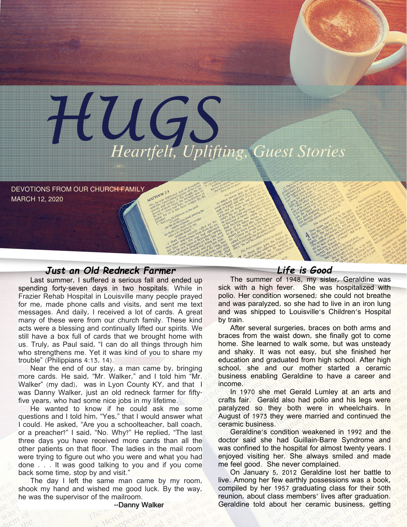

DEVOTIONS FROM OUR CHURCH FAMILY MARCH 12, 2020

## Just an Old Redneck Farmer

Last summer, I suffered a serious fall and ended up spending forty-seven days in two hospitals. While in Frazier Rehab Hospital in Louisville many people prayed for me, made phone calls and visits, and sent me text messages. And daily, I received a lot of cards. A great many of these were from our church family. These kind acts were a blessing and continually lifted our spirits. We still have a box full of cards that we brought home with us. Truly, as Paul said, "I can do all things through him who strengthens me. Yet it was kind of you to share my trouble" (Philippians 4:13, 14).

Near the end of our stay, a man came by, bringing more cards. He said, "Mr. Walker," and I told him "Mr. Walker" (my dad), was in Lyon County KY, and that I was Danny Walker, just an old redneck farmer for fiftyfive years, who had some nice jobs in my lifetime.

He wanted to know if he could ask me some questions and I told him, "Yes," that I would answer what I could. He asked, "Are you a schoolteacher, ball coach, or a preacher?" I said, "No. Why?" He replied, "The last three days you have received more cards than all the other patients on that floor. The ladies in the mail room were trying to figure out who you were and what you had done . . . It was good talking to you and if you come back some time, stop by and visit."

The day I left the same man came by my room, shook my hand and wished me good luck. By the way, he was the supervisor of the mailroom.

Life is Good

The summer of 1948, my sister, Geraldine was sick with a high fever. She was hospitalized with polio. Her condition worsened; she could not breathe and was paralyzed, so she had to live in an iron lung and was shipped to Louisville's Children's Hospital by train.

After several surgeries, braces on both arms and braces from the waist down, she finally got to come home. She learned to walk some, but was unsteady and shaky. It was not easy, but she finished her education and graduated from high school. After high school, she and our mother started a ceramic business enabling Geraldine to have a career and income.

In 1970 she met Gerald Lumley at an arts and crafts fair. Gerald also had polio and his legs were paralyzed so they both were in wheelchairs. In August of 1973 they were married and continued the ceramic business.

Geraldine's condition weakened in 1992 and the doctor said she had Guillain-Barre Syndrome and was confined to the hospital for almost twenty years. I enjoyed visiting her. She always smiled and made me feel good. She never complained.

On January 5, 2012 Geraldine lost her battle to live. Among her few earthly possessions was a book, compiled by her 1957 graduating class for their 50th reunion, about class members' lives after graduation. Geraldine told about her ceramic business, getting

--Danny Walker